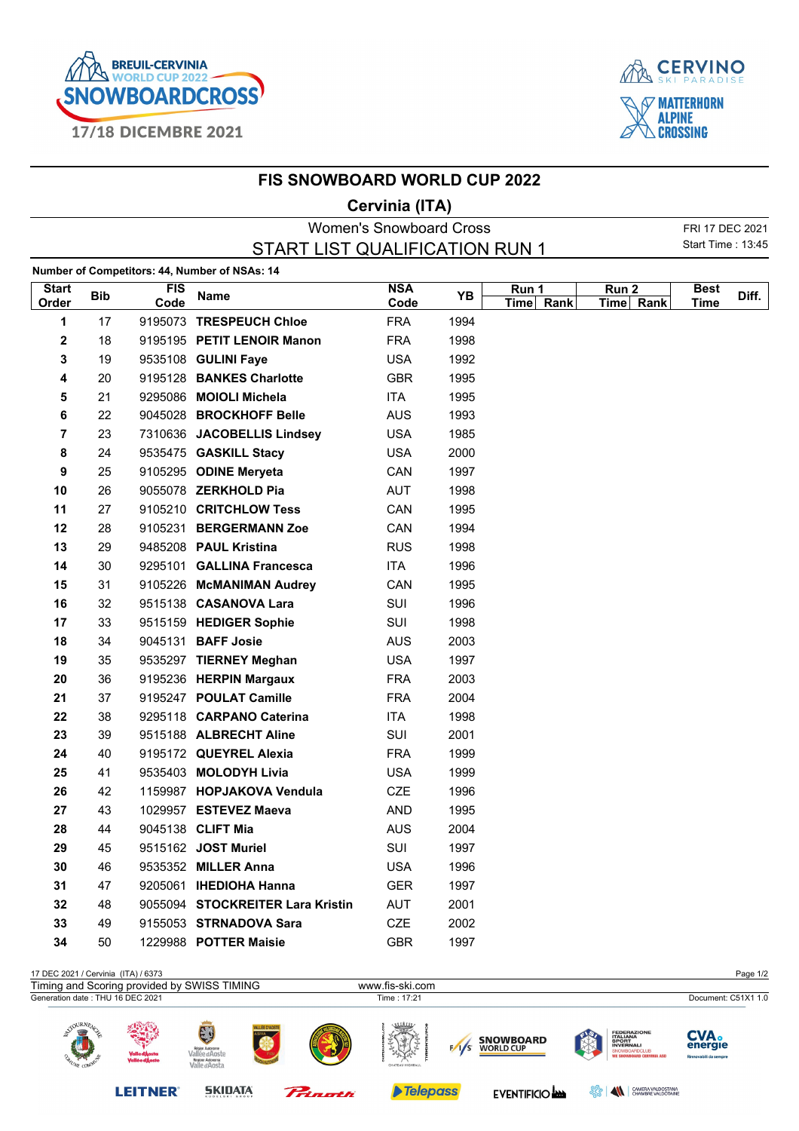



## **FIS SNOWBOARD WORLD CUP 2022**

## **Cervinia (ITA)**

| <b>Women's Snowboard Cross</b>                |            |                    |                                  |                    |      |                    |                               |                     | FRI 17 DEC 2021   |
|-----------------------------------------------|------------|--------------------|----------------------------------|--------------------|------|--------------------|-------------------------------|---------------------|-------------------|
| START LIST QUALIFICATION RUN 1                |            |                    |                                  |                    |      |                    |                               |                     | Start Time: 13:45 |
| Number of Competitors: 44, Number of NSAs: 14 |            |                    |                                  |                    |      |                    |                               |                     |                   |
| <b>Start</b><br>Order                         | <b>Bib</b> | <b>FIS</b><br>Code | <b>Name</b>                      | <b>NSA</b><br>Code | YB   | Run 1<br>Time Rank | Run <sub>2</sub><br>Time Rank | <b>Best</b><br>Time | Diff.             |
| 1                                             | 17         |                    | 9195073 TRESPEUCH Chloe          | <b>FRA</b>         | 1994 |                    |                               |                     |                   |
| 2                                             | 18         |                    | 9195195 PETIT LENOIR Manon       | <b>FRA</b>         | 1998 |                    |                               |                     |                   |
| 3                                             | 19         |                    | 9535108 GULINI Faye              | <b>USA</b>         | 1992 |                    |                               |                     |                   |
| 4                                             | 20         |                    | 9195128 BANKES Charlotte         | <b>GBR</b>         | 1995 |                    |                               |                     |                   |
| 5                                             | 21         |                    | 9295086 MOIOLI Michela           | ITA                | 1995 |                    |                               |                     |                   |
| 6                                             | 22         |                    | 9045028 BROCKHOFF Belle          | <b>AUS</b>         | 1993 |                    |                               |                     |                   |
| 7                                             | 23         |                    | 7310636 JACOBELLIS Lindsey       | <b>USA</b>         | 1985 |                    |                               |                     |                   |
| 8                                             | 24         |                    | 9535475 GASKILL Stacy            | <b>USA</b>         | 2000 |                    |                               |                     |                   |
| 9                                             | 25         |                    | 9105295 ODINE Meryeta            | CAN                | 1997 |                    |                               |                     |                   |
| 10                                            | 26         |                    | 9055078 ZERKHOLD Pia             | <b>AUT</b>         | 1998 |                    |                               |                     |                   |
| 11                                            | 27         |                    | 9105210 CRITCHLOW Tess           | CAN                | 1995 |                    |                               |                     |                   |
| 12                                            | 28         |                    | 9105231 BERGERMANN Zoe           | CAN                | 1994 |                    |                               |                     |                   |
| 13                                            | 29         |                    | 9485208 PAUL Kristina            | <b>RUS</b>         | 1998 |                    |                               |                     |                   |
| 14                                            | 30         |                    | 9295101 GALLINA Francesca        | <b>ITA</b>         | 1996 |                    |                               |                     |                   |
| 15                                            | 31         |                    | 9105226 McMANIMAN Audrey         | CAN                | 1995 |                    |                               |                     |                   |
| 16                                            | 32         |                    | 9515138 CASANOVA Lara            | SUI                | 1996 |                    |                               |                     |                   |
| 17                                            | 33         |                    | 9515159 HEDIGER Sophie           | SUI                | 1998 |                    |                               |                     |                   |
| 18                                            | 34         |                    | 9045131 BAFF Josie               | <b>AUS</b>         | 2003 |                    |                               |                     |                   |
| 19                                            | 35         |                    | 9535297 TIERNEY Meghan           | <b>USA</b>         | 1997 |                    |                               |                     |                   |
| 20                                            | 36         |                    | 9195236 HERPIN Margaux           | <b>FRA</b>         | 2003 |                    |                               |                     |                   |
| 21                                            | 37         |                    | 9195247 POULAT Camille           | <b>FRA</b>         | 2004 |                    |                               |                     |                   |
| 22                                            | 38         |                    | 9295118 CARPANO Caterina         | <b>ITA</b>         | 1998 |                    |                               |                     |                   |
| 23                                            | 39         |                    | 9515188 ALBRECHT Aline           | SUI                | 2001 |                    |                               |                     |                   |
| 24                                            | 40         |                    | 9195172 QUEYREL Alexia           | <b>FRA</b>         | 1999 |                    |                               |                     |                   |
| 25                                            | 41         |                    | 9535403 MOLODYH Livia            | <b>USA</b>         | 1999 |                    |                               |                     |                   |
| 26                                            | 42         |                    | 1159987 HOPJAKOVA Vendula        | CZE                | 1996 |                    |                               |                     |                   |
| 27                                            | 43         |                    | 1029957 ESTEVEZ Maeva            | <b>AND</b>         | 1995 |                    |                               |                     |                   |
| 28                                            | 44         |                    | 9045138 CLIFT Mia                | <b>AUS</b>         | 2004 |                    |                               |                     |                   |
| 29                                            | 45         |                    | 9515162 JOST Muriel              | SUI                | 1997 |                    |                               |                     |                   |
| 30                                            | 46         |                    | 9535352 MILLER Anna              | <b>USA</b>         | 1996 |                    |                               |                     |                   |
| 31                                            | 47         |                    | 9205061 IHEDIOHA Hanna           | <b>GER</b>         | 1997 |                    |                               |                     |                   |
| 32                                            | 48         |                    | 9055094 STOCKREITER Lara Kristin | AUT                | 2001 |                    |                               |                     |                   |
| 33                                            | 49         |                    | 9155053 STRNADOVA Sara           | CZE                | 2002 |                    |                               |                     |                   |
| 34                                            | 50         |                    | 1229988 POTTER Maisie            | <b>GBR</b>         | 1997 |                    |                               |                     |                   |

| 17 DEC 2021 / Cervinia (ITA) / 6373         |                                 |                                                                              |             |         |                        |     |                                      |        |                                                                                                             | Page 1/2                                        |  |
|---------------------------------------------|---------------------------------|------------------------------------------------------------------------------|-------------|---------|------------------------|-----|--------------------------------------|--------|-------------------------------------------------------------------------------------------------------------|-------------------------------------------------|--|
| Timing and Scoring provided by SWISS TIMING |                                 |                                                                              |             |         | www.fis-ski.com        |     |                                      |        |                                                                                                             |                                                 |  |
| Generation date: THU 16 DEC 2021            |                                 |                                                                              |             |         | Time: 17:21            |     |                                      |        |                                                                                                             | Document: C51X1 1.0                             |  |
| OURNE.<br>$\frac{1}{2}$                     | Valle d'Àosta<br>Vallée d'Àoste | EJ<br>Région Autonome<br>Vallée d'Aoste<br>Regione Autonoma<br>Valle d'Aosta | LLÉE D'AOST |         | سس<br>CHATEAU HIGHBALL | 1/s | <b>SNOWBOARD</b><br><b>WORLD CUP</b> |        | <b>FEDERAZIONE</b><br><b>ITALIANA<br/>SPORT<br/>INVERNALI</b><br>SNOWBOARDCLUB<br>We Snowboard Cervinia ASD | <b>CVA.</b><br>energie<br>Rinnovabili da sempre |  |
|                                             | <b>LEITNER</b>                  | <b>SKIDATA</b><br>KUDELSKI GROUP                                             |             | Pringth | <b>Telepass</b>        |     | <b>EVENTIFICIO AND</b>               | ಀೢಁೢಁೢ | $\blacktriangle$<br>CAMERA VALDOSTANA<br>CHAMBRE VALDOTAINE                                                 |                                                 |  |